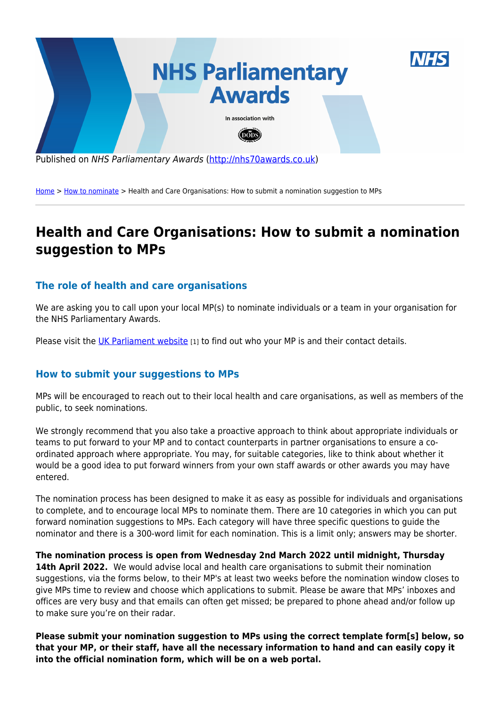

[Home](http://nhs70awards.co.uk/) > [How to nominate](http://nhs70awards.co.uk/) > Health and Care Organisations: How to submit a nomination suggestion to MPs

## **Health and Care Organisations: How to submit a nomination suggestion to MPs**

## **The role of health and care organisations**

We are asking you to call upon your local MP(s) to nominate individuals or a team in your organisation for the NHS Parliamentary Awards.

Please visit the [UK Parliament website](https://members.parliament.uk/members/commons) [1] to find out who your MP is and their contact details.

## **How to submit your suggestions to MPs**

MPs will be encouraged to reach out to their local health and care organisations, as well as members of the public, to seek nominations.

We strongly recommend that you also take a proactive approach to think about appropriate individuals or teams to put forward to your MP and to contact counterparts in partner organisations to ensure a coordinated approach where appropriate. You may, for suitable categories, like to think about whether it would be a good idea to put forward winners from your own staff awards or other awards you may have entered.

The nomination process has been designed to make it as easy as possible for individuals and organisations to complete, and to encourage local MPs to nominate them. There are 10 categories in which you can put forward nomination suggestions to MPs. Each category will have three specific questions to guide the nominator and there is a 300-word limit for each nomination. This is a limit only; answers may be shorter.

**The nomination process is open from Wednesday 2nd March 2022 until midnight, Thursday** 14th April 2022. We would advise local and health care organisations to submit their nomination suggestions, via the forms below, to their MP's at least two weeks before the nomination window closes to give MPs time to review and choose which applications to submit. Please be aware that MPs' inboxes and offices are very busy and that emails can often get missed; be prepared to phone ahead and/or follow up to make sure you're on their radar.

**Please submit your nomination suggestion to MPs using the correct template form[s] below, so that your MP, or their staff, have all the necessary information to hand and can easily copy it into the official nomination form, which will be on a web portal.**